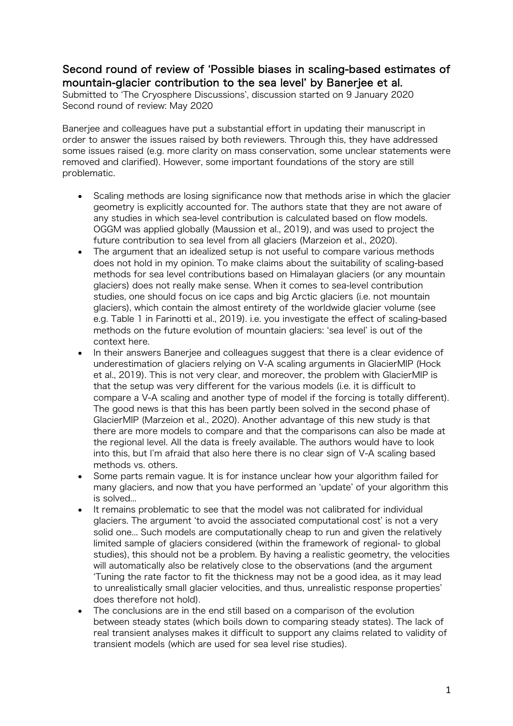## Second round of review of ʻPossible biases in scaling-based estimates of mountain-glacier contribution to the sea level' by Banerjee et al.

Submitted to ʻThe Cryosphere Discussions', discussion started on 9 January 2020 Second round of review: May 2020

Banerjee and colleagues have put a substantial effort in updating their manuscript in order to answer the issues raised by both reviewers. Through this, they have addressed some issues raised (e.g. more clarity on mass conservation, some unclear statements were removed and clarified). However, some important foundations of the story are still problematic.

- Scaling methods are losing significance now that methods arise in which the glacier geometry is explicitly accounted for. The authors state that they are not aware of any studies in which sea-level contribution is calculated based on flow models. OGGM was applied globally (Maussion et al., 2019), and was used to project the future contribution to sea level from all glaciers (Marzeion et al., 2020).
- The argument that an idealized setup is not useful to compare various methods does not hold in my opinion. To make claims about the suitability of scaling-based methods for sea level contributions based on Himalayan glaciers (or any mountain glaciers) does not really make sense. When it comes to sea-level contribution studies, one should focus on ice caps and big Arctic glaciers (i.e. not mountain glaciers), which contain the almost entirety of the worldwide glacier volume (see e.g. Table 1 in Farinotti et al., 2019). i.e. you investigate the effect of scaling-based methods on the future evolution of mountain glaciers: ʻsea level' is out of the context here.
- In their answers Banerjee and colleagues suggest that there is a clear evidence of underestimation of glaciers relying on V-A scaling arguments in GlacierMIP (Hock et al., 2019). This is not very clear, and moreover, the problem with GlacierMIP is that the setup was very different for the various models (i.e. it is difficult to compare a V-A scaling and another type of model if the forcing is totally different). The good news is that this has been partly been solved in the second phase of GlacierMIP (Marzeion et al., 2020). Another advantage of this new study is that there are more models to compare and that the comparisons can also be made at the regional level. All the data is freely available. The authors would have to look into this, but I'm afraid that also here there is no clear sign of V-A scaling based methods vs. others.
- Some parts remain vague. It is for instance unclear how your algorithm failed for many glaciers, and now that you have performed an ʻupdate' of your algorithm this is solved...
- It remains problematic to see that the model was not calibrated for individual glaciers. The argument ʻto avoid the associated computational cost' is not a very solid one... Such models are computationally cheap to run and given the relatively limited sample of glaciers considered (within the framework of regional- to global studies), this should not be a problem. By having a realistic geometry, the velocities will automatically also be relatively close to the observations (and the argument ʻTuning the rate factor to fit the thickness may not be a good idea, as it may lead to unrealistically small glacier velocities, and thus, unrealistic response properties' does therefore not hold).
- The conclusions are in the end still based on a comparison of the evolution between steady states (which boils down to comparing steady states). The lack of real transient analyses makes it difficult to support any claims related to validity of transient models (which are used for sea level rise studies).